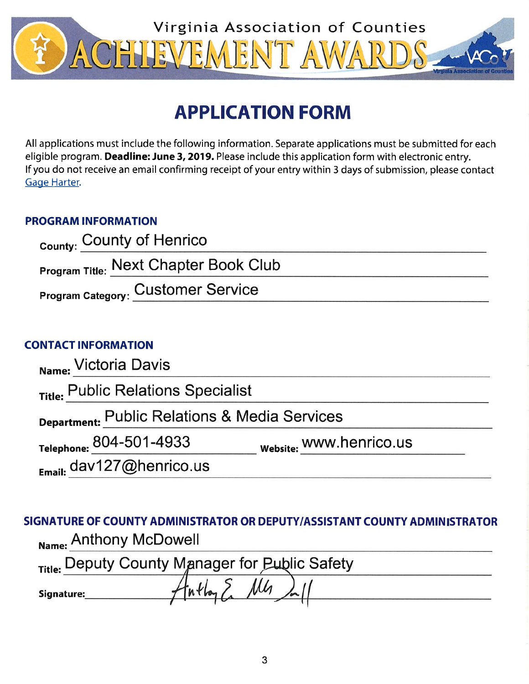

# **APPLICATION FORM**

All applications must include the following information. Separate applications must be submitted for each eligible program. Deadline: June 3, 2019. Please include this application form with electronic entry. If you do not receive an email confirming receipt of your entry within 3 days of submission, please contact Gage Harter.

# **PROGRAM INFORMATION**

| <sub>County:</sub> County of Henrico         |  |
|----------------------------------------------|--|
| <b>Program Title: Next Chapter Book Club</b> |  |
| <b>Program Category: Customer Service</b>    |  |

# **CONTACT INFORMATION**

| Name: Victoria Davis                          |                         |  |
|-----------------------------------------------|-------------------------|--|
| Title: Public Relations Specialist            |                         |  |
| Department: Public Relations & Media Services |                         |  |
| Telephone: 804-501-4933                       | Website: WWW.henrico.us |  |
| $_{E_{\text{mail:}}}$ dav127@henrico.us       |                         |  |

SIGNATURE OF COUNTY ADMINISTRATOR OR DEPUTY/ASSISTANT COUNTY ADMINISTRATOR Name: Anthony McDowell

| <sub>Title:</sub> Deputy County Manager for Public Safety |                             |  |  |
|-----------------------------------------------------------|-----------------------------|--|--|
| Signature:                                                | $AtnH_{\alpha}$ $\sum M(n)$ |  |  |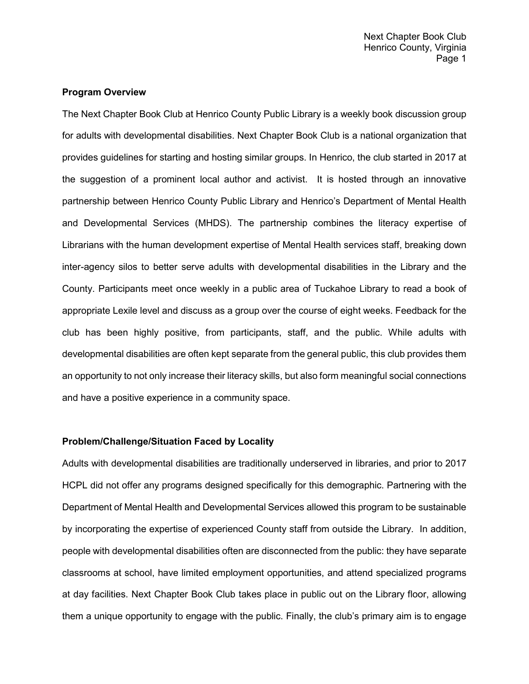# **Program Overview**

The Next Chapter Book Club at Henrico County Public Library is a weekly book discussion group for adults with developmental disabilities. Next Chapter Book Club is a national organization that provides guidelines for starting and hosting similar groups. In Henrico, the club started in 2017 at the suggestion of a prominent local author and activist. It is hosted through an innovative partnership between Henrico County Public Library and Henrico's Department of Mental Health and Developmental Services (MHDS). The partnership combines the literacy expertise of Librarians with the human development expertise of Mental Health services staff, breaking down inter-agency silos to better serve adults with developmental disabilities in the Library and the County. Participants meet once weekly in a public area of Tuckahoe Library to read a book of appropriate Lexile level and discuss as a group over the course of eight weeks. Feedback for the club has been highly positive, from participants, staff, and the public. While adults with developmental disabilities are often kept separate from the general public, this club provides them an opportunity to not only increase their literacy skills, but also form meaningful social connections and have a positive experience in a community space.

# **Problem/Challenge/Situation Faced by Locality**

Adults with developmental disabilities are traditionally underserved in libraries, and prior to 2017 HCPL did not offer any programs designed specifically for this demographic. Partnering with the Department of Mental Health and Developmental Services allowed this program to be sustainable by incorporating the expertise of experienced County staff from outside the Library. In addition, people with developmental disabilities often are disconnected from the public: they have separate classrooms at school, have limited employment opportunities, and attend specialized programs at day facilities. Next Chapter Book Club takes place in public out on the Library floor, allowing them a unique opportunity to engage with the public. Finally, the club's primary aim is to engage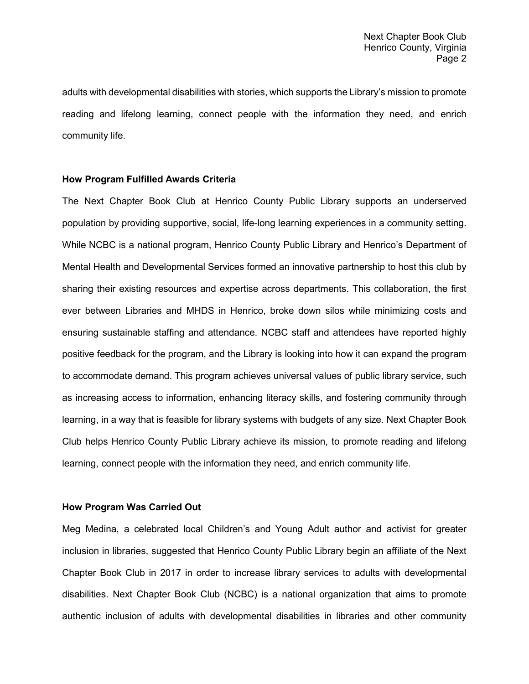adults with developmental disabilities with stories, which supports the Library's mission to promote reading and lifelong learning, connect people with the information they need, and enrich community life.

#### **How Program Fulfilled Awards Criteria**

The Next Chapter Book Club at Henrico County Public Library supports an underserved population by providing supportive, social, life-long learning experiences in a community setting. While NCBC is a national program, Henrico County Public Library and Henrico's Department of Mental Health and Developmental Services formed an innovative partnership to host this club by sharing their existing resources and expertise across departments. This collaboration, the first ever between Libraries and MHDS in Henrico, broke down silos while minimizing costs and ensuring sustainable staffing and attendance. NCBC staff and attendees have reported highly positive feedback for the program, and the Library is looking into how it can expand the program to accommodate demand. This program achieves universal values of public library service, such as increasing access to information, enhancing literacy skills, and fostering community through learning, in a way that is feasible for library systems with budgets of any size. Next Chapter Book Club helps Henrico County Public Library achieve its mission, to promote reading and lifelong learning, connect people with the information they need, and enrich community life.

# **How Program Was Carried Out**

Meg Medina, a celebrated local Children's and Young Adult author and activist for greater inclusion in libraries, suggested that Henrico County Public Library begin an affiliate of the Next Chapter Book Club in 2017 in order to increase library services to adults with developmental disabilities. Next Chapter Book Club (NCBC) is a national organization that aims to promote authentic inclusion of adults with developmental disabilities in libraries and other community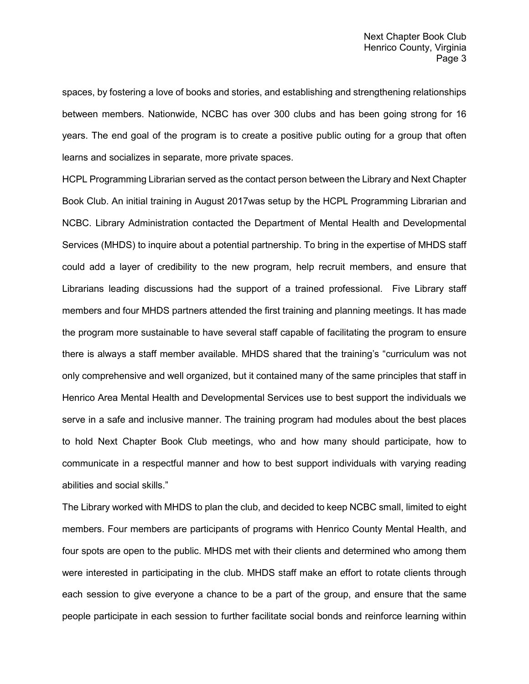spaces, by fostering a love of books and stories, and establishing and strengthening relationships between members. Nationwide, NCBC has over 300 clubs and has been going strong for 16 years. The end goal of the program is to create a positive public outing for a group that often learns and socializes in separate, more private spaces.

HCPL Programming Librarian served as the contact person between the Library and Next Chapter Book Club. An initial training in August 2017was setup by the HCPL Programming Librarian and NCBC. Library Administration contacted the Department of Mental Health and Developmental Services (MHDS) to inquire about a potential partnership. To bring in the expertise of MHDS staff could add a layer of credibility to the new program, help recruit members, and ensure that Librarians leading discussions had the support of a trained professional. Five Library staff members and four MHDS partners attended the first training and planning meetings. It has made the program more sustainable to have several staff capable of facilitating the program to ensure there is always a staff member available. MHDS shared that the training's "curriculum was not only comprehensive and well organized, but it contained many of the same principles that staff in Henrico Area Mental Health and Developmental Services use to best support the individuals we serve in a safe and inclusive manner. The training program had modules about the best places to hold Next Chapter Book Club meetings, who and how many should participate, how to communicate in a respectful manner and how to best support individuals with varying reading abilities and social skills."

The Library worked with MHDS to plan the club, and decided to keep NCBC small, limited to eight members. Four members are participants of programs with Henrico County Mental Health, and four spots are open to the public. MHDS met with their clients and determined who among them were interested in participating in the club. MHDS staff make an effort to rotate clients through each session to give everyone a chance to be a part of the group, and ensure that the same people participate in each session to further facilitate social bonds and reinforce learning within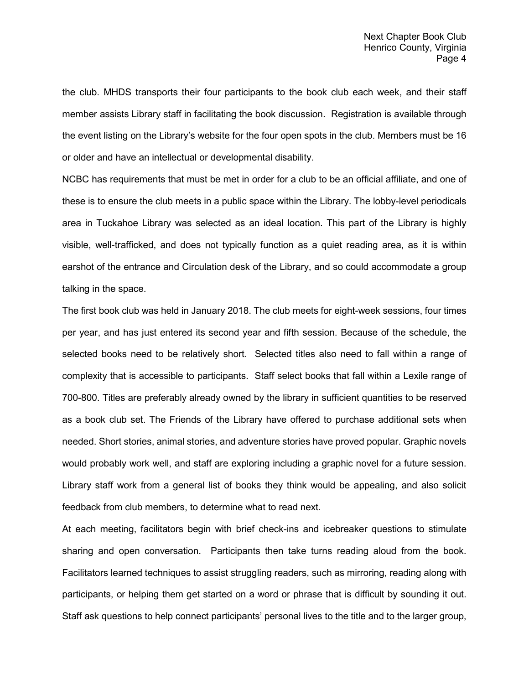the club. MHDS transports their four participants to the book club each week, and their staff member assists Library staff in facilitating the book discussion. Registration is available through the event listing on the Library's website for the four open spots in the club. Members must be 16 or older and have an intellectual or developmental disability.

NCBC has requirements that must be met in order for a club to be an official affiliate, and one of these is to ensure the club meets in a public space within the Library. The lobby-level periodicals area in Tuckahoe Library was selected as an ideal location. This part of the Library is highly visible, well-trafficked, and does not typically function as a quiet reading area, as it is within earshot of the entrance and Circulation desk of the Library, and so could accommodate a group talking in the space.

The first book club was held in January 2018. The club meets for eight-week sessions, four times per year, and has just entered its second year and fifth session. Because of the schedule, the selected books need to be relatively short. Selected titles also need to fall within a range of complexity that is accessible to participants. Staff select books that fall within a Lexile range of 700-800. Titles are preferably already owned by the library in sufficient quantities to be reserved as a book club set. The Friends of the Library have offered to purchase additional sets when needed. Short stories, animal stories, and adventure stories have proved popular. Graphic novels would probably work well, and staff are exploring including a graphic novel for a future session. Library staff work from a general list of books they think would be appealing, and also solicit feedback from club members, to determine what to read next.

At each meeting, facilitators begin with brief check-ins and icebreaker questions to stimulate sharing and open conversation. Participants then take turns reading aloud from the book. Facilitators learned techniques to assist struggling readers, such as mirroring, reading along with participants, or helping them get started on a word or phrase that is difficult by sounding it out. Staff ask questions to help connect participants' personal lives to the title and to the larger group,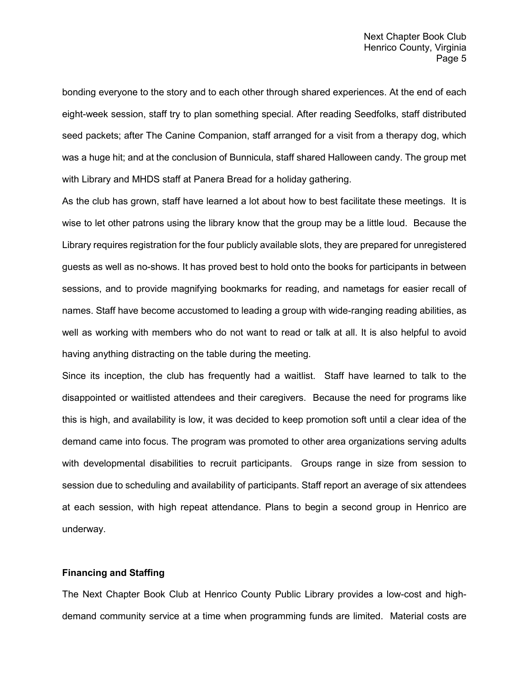bonding everyone to the story and to each other through shared experiences. At the end of each eight-week session, staff try to plan something special. After reading Seedfolks, staff distributed seed packets; after The Canine Companion, staff arranged for a visit from a therapy dog, which was a huge hit; and at the conclusion of Bunnicula, staff shared Halloween candy. The group met with Library and MHDS staff at Panera Bread for a holiday gathering.

As the club has grown, staff have learned a lot about how to best facilitate these meetings. It is wise to let other patrons using the library know that the group may be a little loud. Because the Library requires registration for the four publicly available slots, they are prepared for unregistered guests as well as no-shows. It has proved best to hold onto the books for participants in between sessions, and to provide magnifying bookmarks for reading, and nametags for easier recall of names. Staff have become accustomed to leading a group with wide-ranging reading abilities, as well as working with members who do not want to read or talk at all. It is also helpful to avoid having anything distracting on the table during the meeting.

Since its inception, the club has frequently had a waitlist. Staff have learned to talk to the disappointed or waitlisted attendees and their caregivers. Because the need for programs like this is high, and availability is low, it was decided to keep promotion soft until a clear idea of the demand came into focus. The program was promoted to other area organizations serving adults with developmental disabilities to recruit participants. Groups range in size from session to session due to scheduling and availability of participants. Staff report an average of six attendees at each session, with high repeat attendance. Plans to begin a second group in Henrico are underway.

# **Financing and Staffing**

The Next Chapter Book Club at Henrico County Public Library provides a low-cost and highdemand community service at a time when programming funds are limited. Material costs are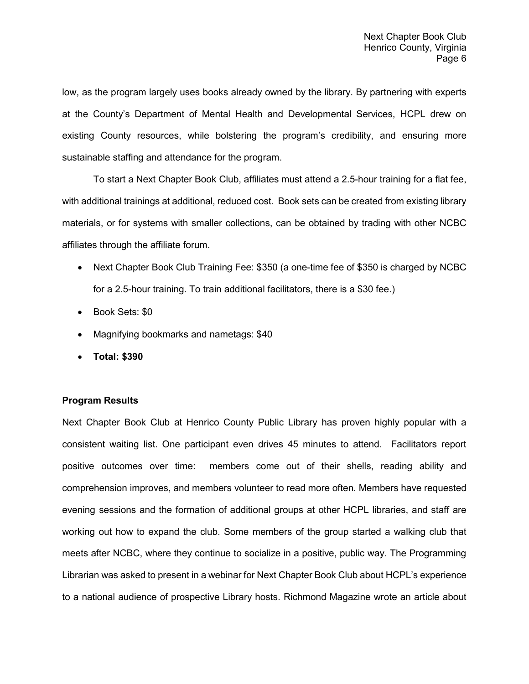low, as the program largely uses books already owned by the library. By partnering with experts at the County's Department of Mental Health and Developmental Services, HCPL drew on existing County resources, while bolstering the program's credibility, and ensuring more sustainable staffing and attendance for the program.

To start a Next Chapter Book Club, affiliates must attend a 2.5-hour training for a flat fee, with additional trainings at additional, reduced cost. Book sets can be created from existing library materials, or for systems with smaller collections, can be obtained by trading with other NCBC affiliates through the affiliate forum.

- Next Chapter Book Club Training Fee: \$350 (a one-time fee of \$350 is charged by NCBC for a 2.5-hour training. To train additional facilitators, there is a \$30 fee.)
- Book Sets: \$0
- Magnifying bookmarks and nametags: \$40
- **Total: \$390**

# **Program Results**

Next Chapter Book Club at Henrico County Public Library has proven highly popular with a consistent waiting list. One participant even drives 45 minutes to attend. Facilitators report positive outcomes over time: members come out of their shells, reading ability and comprehension improves, and members volunteer to read more often. Members have requested evening sessions and the formation of additional groups at other HCPL libraries, and staff are working out how to expand the club. Some members of the group started a walking club that meets after NCBC, where they continue to socialize in a positive, public way. The Programming Librarian was asked to present in a webinar for Next Chapter Book Club about HCPL's experience to a national audience of prospective Library hosts. Richmond Magazine wrote an article about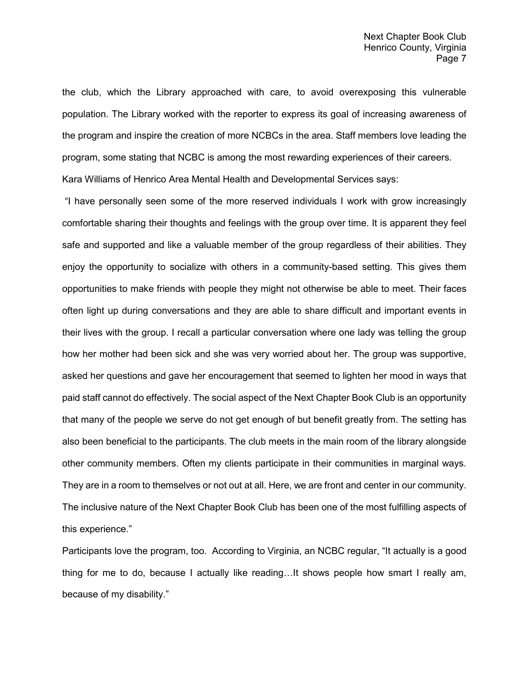the club, which the Library approached with care, to avoid overexposing this vulnerable population. The Library worked with the reporter to express its goal of increasing awareness of the program and inspire the creation of more NCBCs in the area. Staff members love leading the program, some stating that NCBC is among the most rewarding experiences of their careers.

Kara Williams of Henrico Area Mental Health and Developmental Services says:

"I have personally seen some of the more reserved individuals I work with grow increasingly comfortable sharing their thoughts and feelings with the group over time. It is apparent they feel safe and supported and like a valuable member of the group regardless of their abilities. They enjoy the opportunity to socialize with others in a community-based setting. This gives them opportunities to make friends with people they might not otherwise be able to meet. Their faces often light up during conversations and they are able to share difficult and important events in their lives with the group. I recall a particular conversation where one lady was telling the group how her mother had been sick and she was very worried about her. The group was supportive, asked her questions and gave her encouragement that seemed to lighten her mood in ways that paid staff cannot do effectively. The social aspect of the Next Chapter Book Club is an opportunity that many of the people we serve do not get enough of but benefit greatly from. The setting has also been beneficial to the participants. The club meets in the main room of the library alongside other community members. Often my clients participate in their communities in marginal ways. They are in a room to themselves or not out at all. Here, we are front and center in our community. The inclusive nature of the Next Chapter Book Club has been one of the most fulfilling aspects of this experience."

Participants love the program, too. According to Virginia, an NCBC regular, "It actually is a good thing for me to do, because I actually like reading…It shows people how smart I really am, because of my disability."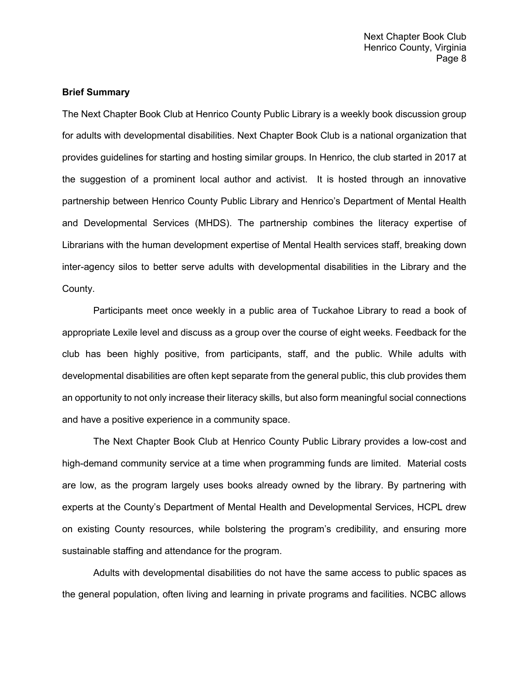# **Brief Summary**

The Next Chapter Book Club at Henrico County Public Library is a weekly book discussion group for adults with developmental disabilities. Next Chapter Book Club is a national organization that provides guidelines for starting and hosting similar groups. In Henrico, the club started in 2017 at the suggestion of a prominent local author and activist. It is hosted through an innovative partnership between Henrico County Public Library and Henrico's Department of Mental Health and Developmental Services (MHDS). The partnership combines the literacy expertise of Librarians with the human development expertise of Mental Health services staff, breaking down inter-agency silos to better serve adults with developmental disabilities in the Library and the County.

Participants meet once weekly in a public area of Tuckahoe Library to read a book of appropriate Lexile level and discuss as a group over the course of eight weeks. Feedback for the club has been highly positive, from participants, staff, and the public. While adults with developmental disabilities are often kept separate from the general public, this club provides them an opportunity to not only increase their literacy skills, but also form meaningful social connections and have a positive experience in a community space.

The Next Chapter Book Club at Henrico County Public Library provides a low-cost and high-demand community service at a time when programming funds are limited. Material costs are low, as the program largely uses books already owned by the library. By partnering with experts at the County's Department of Mental Health and Developmental Services, HCPL drew on existing County resources, while bolstering the program's credibility, and ensuring more sustainable staffing and attendance for the program.

Adults with developmental disabilities do not have the same access to public spaces as the general population, often living and learning in private programs and facilities. NCBC allows